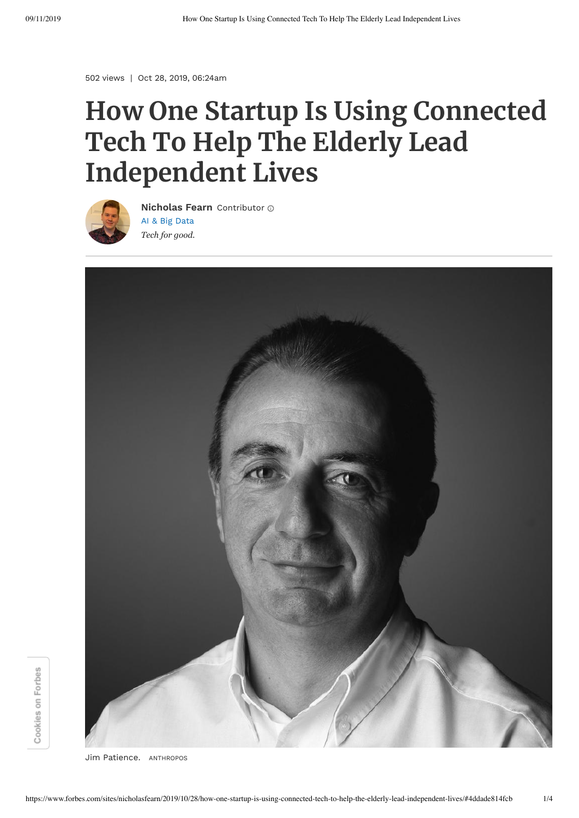502 views | Oct 28, 2019, 06:24am

## **How One Startup Is Using Connected Tech To Help The Elderly Lead Independent Lives**



[AI & Big Data](https://www.forbes.com/ai-big-data) *Tech for good.* **[Nicholas Fearn](https://www.forbes.com/sites/nicholasfearn/)** Contributor



Jim Patience. ANTHROPOS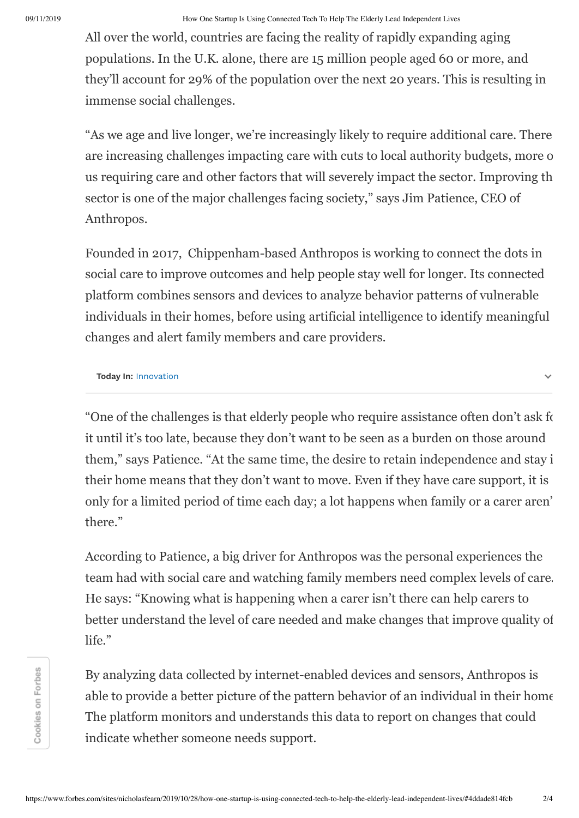All over the world, countries are facing the reality of rapidly expanding aging populations. In the U.K. alone, there are 15 million people aged 60 or more, and they'll account for 29% of the population over the next 20 years. This is resulting in immense social challenges.

"As we age and live longer, we're increasingly likely to require additional care. There are increasing challenges impacting care with cuts to local authority budgets, more o us requiring care and other factors that will severely impact the sector. Improving th sector is one of the major challenges facing society," says Jim Patience, CEO of Anthropos.

Founded in 2017, Chippenham-based Anthropos is working to connect the dots in social care to improve outcomes and help people stay well for longer. Its connected platform combines sensors and devices to analyze behavior patterns of vulnerable individuals in their homes, before using artificial intelligence to identify meaningful changes and alert family members and care providers.

## **Today In:** [Innovation](https://www.forbes.com/ai-big-data)

"One of the challenges is that elderly people who require assistance often don't ask fo it until it's too late, because they don't want to be seen as a burden on those around them," says Patience. "At the same time, the desire to retain independence and stay i their home means that they don't want to move. Even if they have care support, it is only for a limited period of time each day; a lot happens when family or a carer aren' there."

According to Patience, a big driver for Anthropos was the personal experiences the team had with social care and watching family members need complex levels of care. He says: "Knowing what is happening when a carer isn't there can help carers to better understand the level of care needed and make changes that improve quality of life."

By analyzing data collected by internet-enabled devices and sensors, Anthropos is able to provide a better picture of the pattern behavior of an individual in their home The platform monitors and understands this data to report on changes that could indicate whether someone needs support.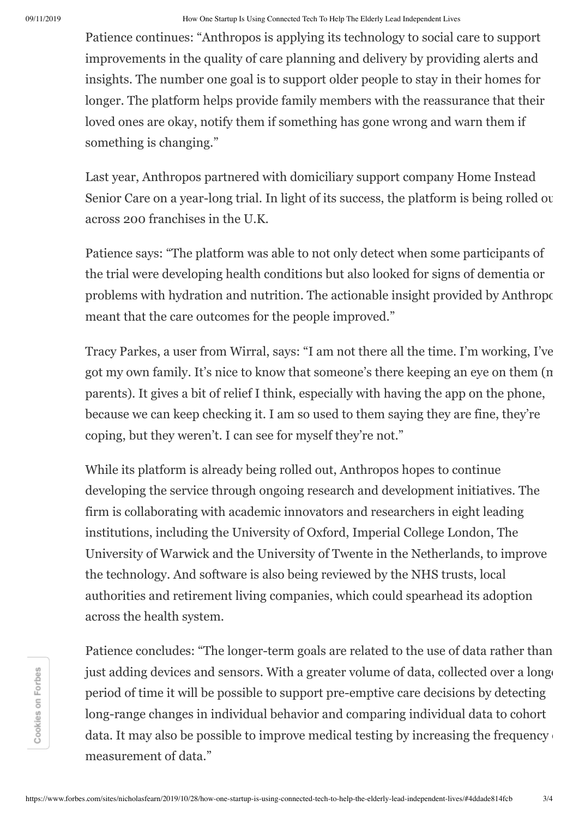Patience continues: "Anthropos is applying its technology to social care to support improvements in the quality of care planning and delivery by providing alerts and insights. The number one goal is to support older people to stay in their homes for longer. The platform helps provide family members with the reassurance that their loved ones are okay, notify them if something has gone wrong and warn them if something is changing."

Last year, Anthropos partnered with domiciliary support company Home Instead Senior Care on a year-long trial. In light of its success, the platform is being rolled ou across 200 franchises in the U.K.

Patience says: "The platform was able to not only detect when some participants of the trial were developing health conditions but also looked for signs of dementia or problems with hydration and nutrition. The actionable insight provided by Anthropo meant that the care outcomes for the people improved."

Tracy Parkes, a user from Wirral, says: "I am not there all the time. I'm working, I've got my own family. It's nice to know that someone's there keeping an eye on them (m parents). It gives a bit of relief I think, especially with having the app on the phone, because we can keep checking it. I am so used to them saying they are fine, they're coping, but they weren't. I can see for myself they're not."

While its platform is already being rolled out, Anthropos hopes to continue developing the service through ongoing research and development initiatives. The firm is collaborating with academic innovators and researchers in eight leading institutions, including the University of Oxford, Imperial College London, The University of Warwick and the University of Twente in the Netherlands, to improve the technology. And software is also being reviewed by the NHS trusts, local authorities and retirement living companies, which could spearhead its adoption across the health system.

Patience concludes: "The longer-term goals are related to the use of data rather than just adding devices and sensors. With a greater volume of data, collected over a longe period of time it will be possible to support pre-emptive care decisions by detecting long-range changes in individual behavior and comparing individual data to cohort data. It may also be possible to improve medical testing by increasing the frequency measurement of data."